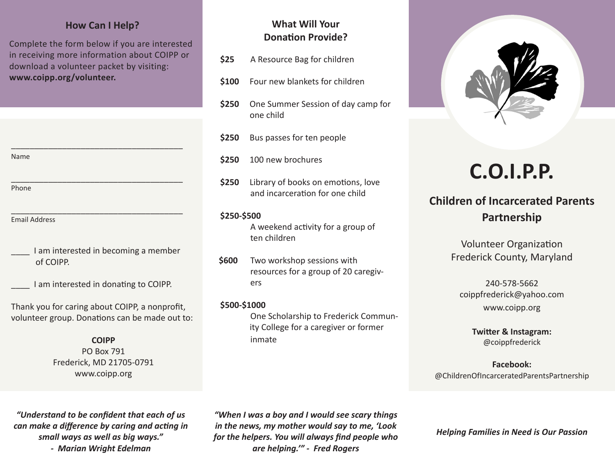### **How Can I Help?**

Complete the form below if you are interested in receiving more information about COIPP or download a volunteer packet by visiting: **www.coipp.org/volunteer.**

\_\_\_\_\_\_\_\_\_\_\_\_\_\_\_\_\_\_\_\_\_\_\_\_\_\_\_\_\_\_\_\_\_\_\_\_\_

\_\_\_\_\_\_\_\_\_\_\_\_\_\_\_\_\_\_\_\_\_\_\_\_\_\_\_\_\_\_\_\_\_\_\_\_\_

Name

Phone

- \_\_\_\_\_\_\_\_\_\_\_\_\_\_\_\_\_\_\_\_\_\_\_\_\_\_\_\_\_\_\_\_\_\_\_\_\_ Email Address
- I am interested in becoming a member of COIPP.
	- I am interested in donating to COIPP.

Thank you for caring about COIPP, a nonprofit, volunteer group. Donations can be made out to:

#### **COIPP**

PO Box 791 Frederick, MD 21705-0791 www.coipp.org

## **What Will Your Donation Provide?**

- **\$25** A Resource Bag for children
- **\$100** Four new blankets for children
- **\$250** One Summer Session of day camp for one child
- **\$250** Bus passes for ten people
- **\$250** 100 new brochures
- **\$250** Library of books on emotions, love and incarceration for one child

#### **\$250-\$500**

 A weekend activity for a group of ten children

- **\$600** Two workshop sessions with resources for a group of 20 caregiv ers
- **\$500-\$1000**

 One Scholarship to Frederick Commun ity College for a caregiver or former inmate



# **C.O.I.P.P.**

# **Children of Incarcerated Parents Partnership**

Volunteer Organization Frederick County, Maryland

240-578-5662 coippfrederick@yahoo.com www.coipp.org

> **Twitter & Instagram:** @coippfrederick

**Facebook:** @ChildrenOfIncarceratedParentsPartnership

*"Understand to be confident that each of us can make a difference by caring and acting in small ways as well as big ways." - Marian Wright Edelman*

*"When I was a boy and I would see scary things in the news, my mother would say to me, 'Look for the helpers. You will always find people who are helping.'" - Fred Rogers*

*Helping Families in Need is Our Passion*